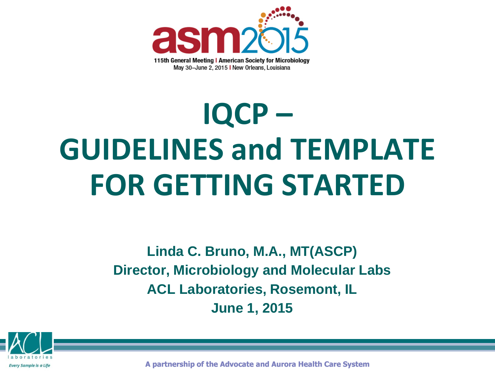

# **IQCP – GUIDELINES and TEMPLATE FOR GETTING STARTED**

**Linda C. Bruno, M.A., MT(ASCP) Director, Microbiology and Molecular Labs ACL Laboratories, Rosemont, IL June 1, 2015**



**A partnership of the Advocate and Aurora Health Care System**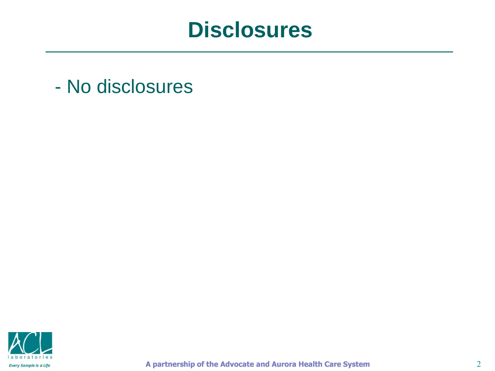#### **Disclosures**

- No disclosures

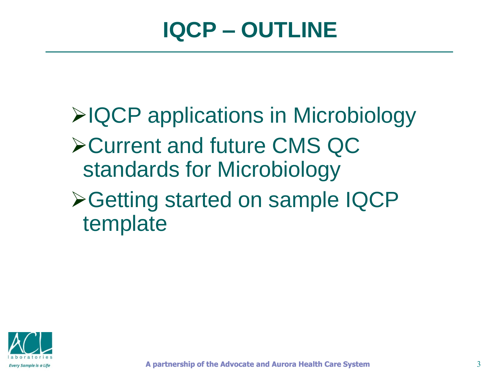**≻IQCP applications in Microbiology** Current and future CMS QC standards for Microbiology **≻Getting started on sample IQCP** template

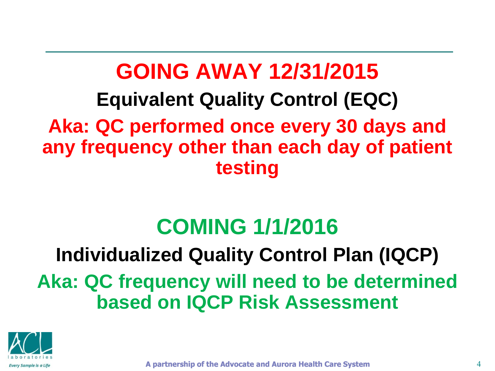#### **GOING AWAY 12/31/2015 Equivalent Quality Control (EQC) Aka: QC performed once every 30 days and any frequency other than each day of patient testing**

# **COMING 1/1/2016**

# **Individualized Quality Control Plan (IQCP) Aka: QC frequency will need to be determined based on IQCP Risk Assessment**



**A partnership of the Advocate and Aurora Health Care System**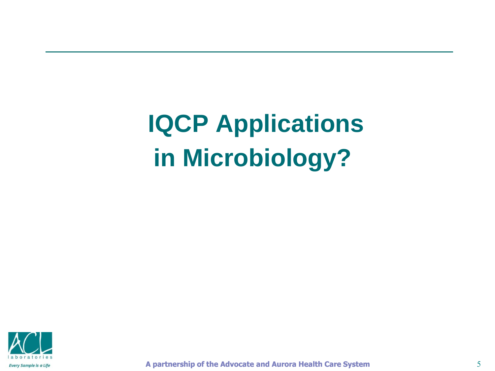**IQCP Applications in Microbiology?** 



**A partnership of the Advocate and Aurora Health Care System**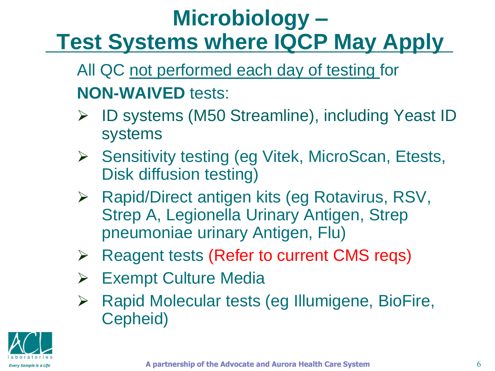# **Microbiology – Test Systems where IQCP May Apply**

All QC not performed each day of testing for **NON-WAIVED** tests:

- ID systems (M50 Streamline), including Yeast ID systems
- **►** Sensitivity testing (eg Vitek, MicroScan, Etests, Disk diffusion testing)
- ▶ Rapid/Direct antigen kits (eg Rotavirus, RSV, Strep A, Legionella Urinary Antigen, Strep pneumoniae urinary Antigen, Flu)
- **EXA Reagent tests (Refer to current CMS reqs)**
- Exempt Culture Media
- $\triangleright$  Rapid Molecular tests (eg Illumigene, BioFire, Cepheid)

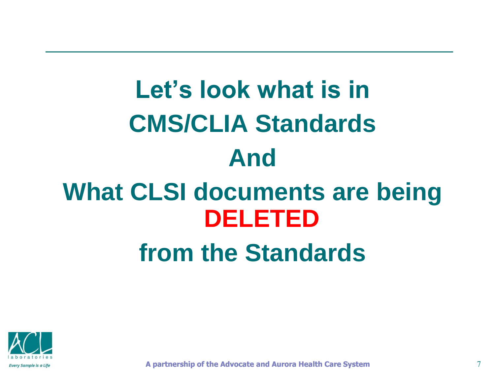# **Let's look what is in CMS/CLIA Standards And What CLSI documents are being DELETED from the Standards**



**A partnership of the Advocate and Aurora Health Care System**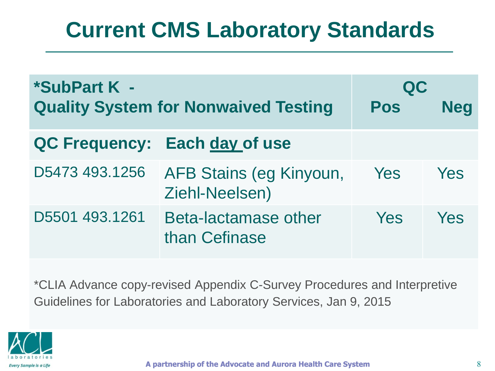| *SubPart K -<br><b>Quality System for Nonwaived Testing</b> |                                           | QC<br>Pos | <b>Neg</b> |
|-------------------------------------------------------------|-------------------------------------------|-----------|------------|
|                                                             | QC Frequency: Each day of use             |           |            |
| D5473 493.1256                                              | AFB Stains (eg Kinyoun,<br>Ziehl-Neelsen) | Yes       | Yes        |
| D5501 493.1261                                              | Beta-lactamase other<br>than Cefinase     | Yes       | Yes        |

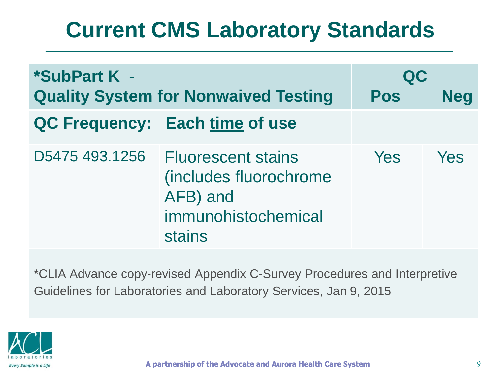| *SubPart K -<br><b>Quality System for Nonwaived Testing</b> |                                                                                                   | QC<br><b>Pos</b> | <b>Neg</b> |
|-------------------------------------------------------------|---------------------------------------------------------------------------------------------------|------------------|------------|
|                                                             | QC Frequency: Each time of use                                                                    |                  |            |
| D5475 493.1256                                              | <b>Fluorescent stains</b><br>(includes fluorochrome)<br>AFB) and<br>immunohistochemical<br>stains | <b>Yes</b>       | Yes        |

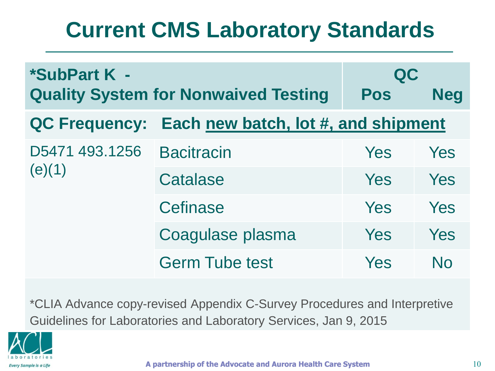| *SubPart K -<br><b>Quality System for Nonwaived Testing</b> |                                     | QC<br>Pos | <b>Neg</b>     |
|-------------------------------------------------------------|-------------------------------------|-----------|----------------|
| <b>QC Frequency:</b>                                        | Each new batch, lot #, and shipment |           |                |
| D5471 493.1256<br>(e)(1)                                    | <b>Bacitracin</b>                   | Yes       | Yes            |
|                                                             | <b>Catalase</b>                     | Yes       | Yes            |
|                                                             | <b>Cefinase</b>                     | Yes       | Yes            |
|                                                             | Coagulase plasma                    | Yes       | Yes            |
|                                                             | <b>Germ Tube test</b>               | Yes       | N <sub>0</sub> |

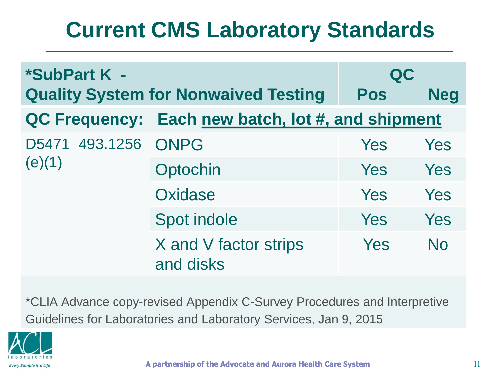| *SubPart K -                  |                                                   | QC  |            |
|-------------------------------|---------------------------------------------------|-----|------------|
|                               | <b>Quality System for Nonwaived Testing</b>       | Pos | <b>Neg</b> |
|                               | QC Frequency: Each new batch, lot #, and shipment |     |            |
| D5471 493.1256 ONPG<br>(e)(1) |                                                   | Yes | Yes        |
|                               | Optochin                                          | Yes | Yes        |
|                               | Oxidase                                           | Yes | Yes        |
|                               | Spot indole                                       | Yes | Yes        |
|                               | X and V factor strips<br>and disks                | Yes | <b>No</b>  |

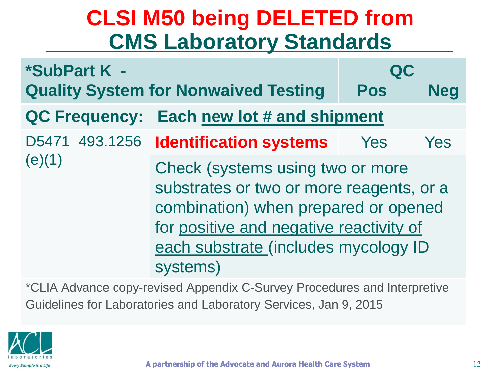# **CLSI M50 being DELETED from CMS Laboratory Standards**

| *SubPart K -   |                               |                                                                                                                                                                                                                     | QC  |            |
|----------------|-------------------------------|---------------------------------------------------------------------------------------------------------------------------------------------------------------------------------------------------------------------|-----|------------|
|                |                               | <b>Quality System for Nonwaived Testing</b>                                                                                                                                                                         | Pos | <b>Neg</b> |
|                | <b>QC Frequency:</b>          | Each new lot # and shipment                                                                                                                                                                                         |     |            |
| D5471 493.1256 | <b>Identification systems</b> | Yes                                                                                                                                                                                                                 | Yes |            |
| (e)(1)         |                               | Check (systems using two or more<br>substrates or two or more reagents, or a<br>combination) when prepared or opened<br>for positive and negative reactivity of<br>each substrate (includes mycology ID<br>systems) |     |            |

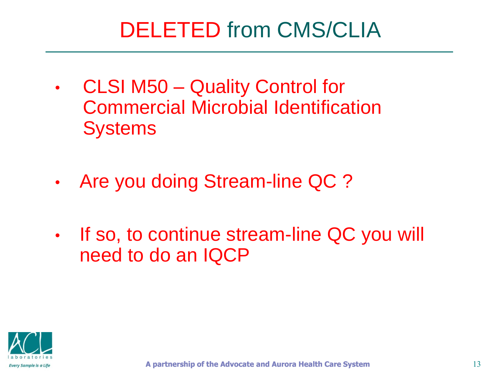# DELETED from CMS/CLIA

- CLSI M50 Quality Control for Commercial Microbial Identification **Systems**
- Are you doing Stream-line QC ?
- If so, to continue stream-line QC you will need to do an IQCP

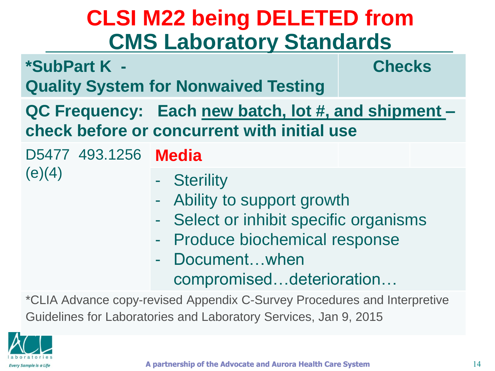# **CLSI M22 being DELETED from CMS Laboratory Standards**

| *SubPart K -                                                                                       | <b>Quality System for Nonwaived Testing</b>                                                                                                                                                                              | <b>Checks</b> |  |  |
|----------------------------------------------------------------------------------------------------|--------------------------------------------------------------------------------------------------------------------------------------------------------------------------------------------------------------------------|---------------|--|--|
| QC Frequency: Each new batch, lot #, and shipment –<br>check before or concurrent with initial use |                                                                                                                                                                                                                          |               |  |  |
| D5477 493.1256 Media                                                                               |                                                                                                                                                                                                                          |               |  |  |
| (e)(4)                                                                                             | - Sterility<br>- Ability to support growth<br>Select or inhibit specific organisms<br>e i<br><b>Produce biochemical response</b><br>$\frac{1}{2}$ , $\frac{1}{2}$<br>Documentwhen<br>and the<br>compromiseddeterioration |               |  |  |
| *CLIA Advance copy-revised Appendix C-Survey Procedures and Interpretive                           |                                                                                                                                                                                                                          |               |  |  |

Guidelines for Laboratories and Laboratory Services, Jan 9, 2015

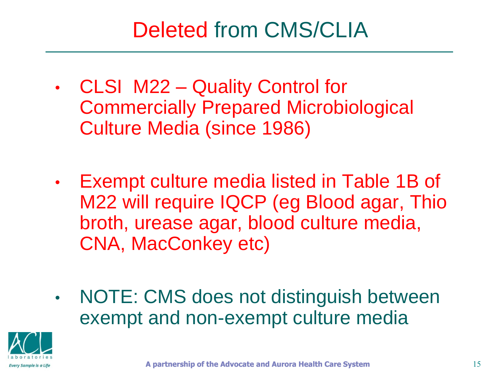# Deleted from CMS/CLIA

- CLSI M22 Quality Control for Commercially Prepared Microbiological Culture Media (since 1986)
- Exempt culture media listed in Table 1B of M22 will require IQCP (eg Blood agar, Thio broth, urease agar, blood culture media, CNA, MacConkey etc)
- NOTE: CMS does not distinguish between exempt and non-exempt culture media

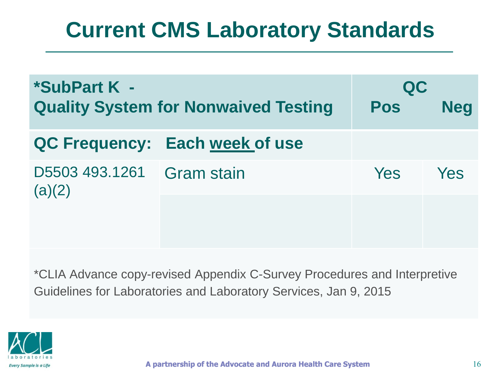| *SubPart K -<br><b>Quality System for Nonwaived Testing</b> |                                | QC<br><b>Pos</b> | <b>Neg</b> |
|-------------------------------------------------------------|--------------------------------|------------------|------------|
|                                                             | QC Frequency: Each week of use |                  |            |
| D5503 493.1261<br>(a)(2)                                    | <b>Gram stain</b>              | <b>Yes</b>       | Yes        |
|                                                             |                                |                  |            |
|                                                             |                                |                  |            |

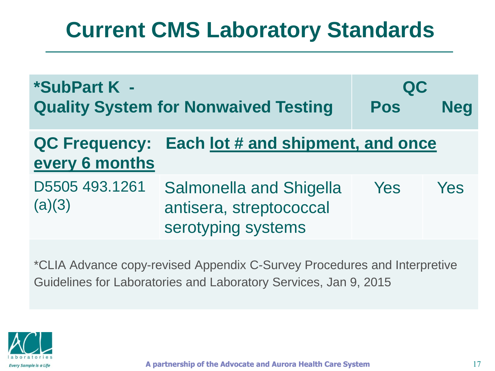| *SubPart K -<br><b>Quality System for Nonwaived Testing</b> |                                                                                 | QC<br><b>Pos</b> | <b>Neg</b> |
|-------------------------------------------------------------|---------------------------------------------------------------------------------|------------------|------------|
| <b>QC Frequency:</b><br>every 6 months                      | Each lot # and shipment, and once                                               |                  |            |
| D5505 493.1261<br>(a)(3)                                    | <b>Salmonella and Shigella</b><br>antisera, streptococcal<br>serotyping systems | Yes              | <b>Yes</b> |

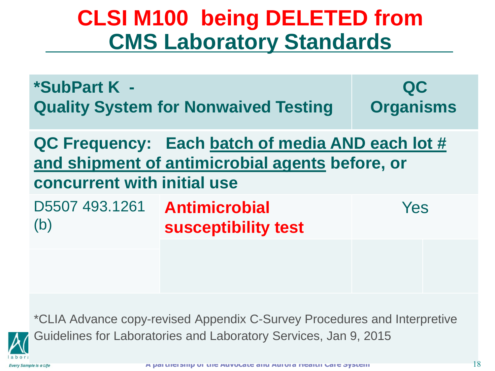# **CLSI M100 being DELETED from CMS Laboratory Standards**

| *SubPart K -<br><b>Quality System for Nonwaived Testing</b>                                                                        | QC<br><b>Organisms</b>                      |     |  |
|------------------------------------------------------------------------------------------------------------------------------------|---------------------------------------------|-----|--|
| QC Frequency: Each batch of media AND each lot #<br>and shipment of antimicrobial agents before, or<br>concurrent with initial use |                                             |     |  |
| D5507 493.1261<br>(b)                                                                                                              | <b>Antimicrobial</b><br>susceptibility test | Yes |  |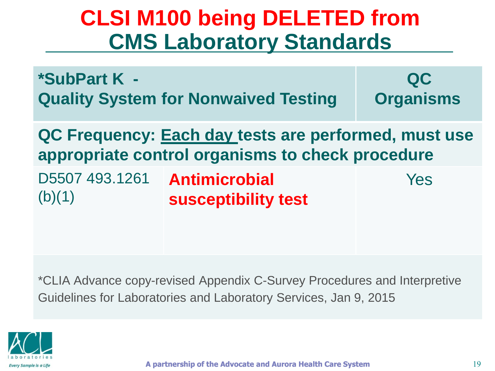# **CLSI M100 being DELETED from CMS Laboratory Standards**

**\*SubPart K - Quality System for Nonwaived Testing QC Organisms**

**QC Frequency: Each day tests are performed, must use appropriate control organisms to check procedure**

D5507 493.1261 **Antimicrobial**   $(b)(1)$ **susceptibility test** Yes

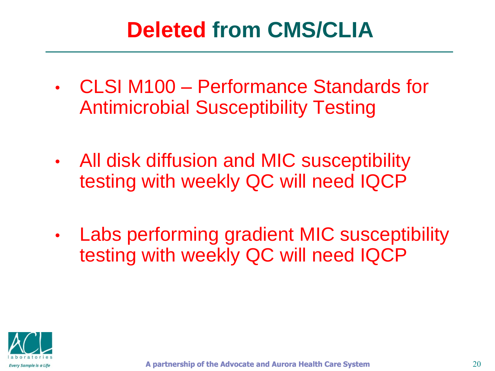# **Deleted from CMS/CLIA**

- CLSI M100 Performance Standards for Antimicrobial Susceptibility Testing
- All disk diffusion and MIC susceptibility testing with weekly QC will need IQCP
- Labs performing gradient MIC susceptibility testing with weekly QC will need IQCP

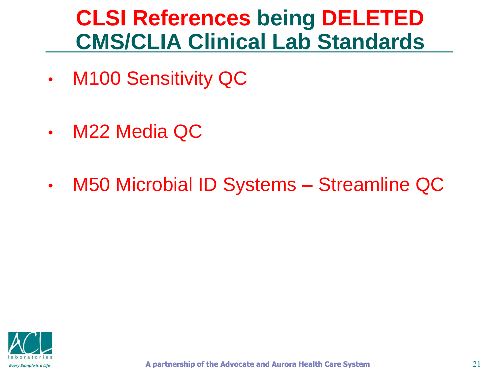# **CLSI References being DELETED CMS/CLIA Clinical Lab Standards**

- M100 Sensitivity QC
- M22 Media QC
- M50 Microbial ID Systems Streamline QC

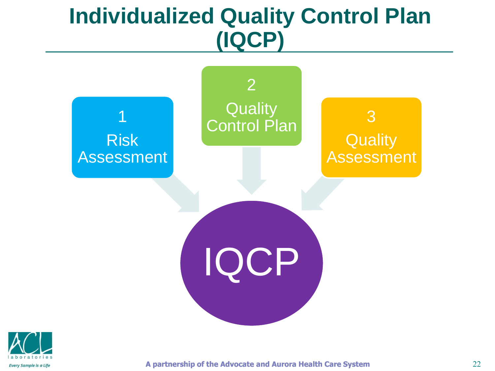### **Individualized Quality Control Plan (IQCP)**





**A partnership of the Advocate and Aurora Health Care System**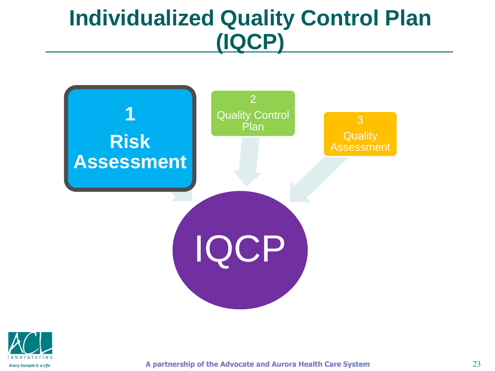# **Individualized Quality Control Plan (IQCP)**



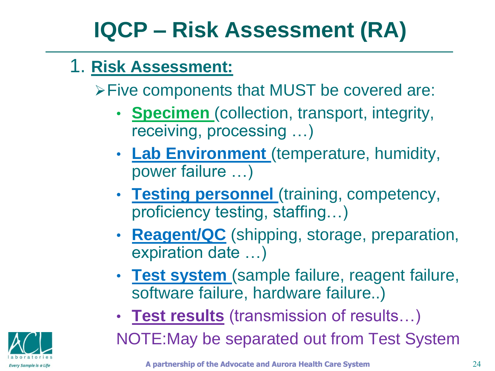# **IQCP – Risk Assessment (RA)**

#### 1. **Risk Assessment:**

Five components that MUST be covered are:

- **Specimen** (collection, transport, integrity, receiving, processing …)
- **Lab Environment** (temperature, humidity, power failure …)
- **Testing personnel** (training, competency, proficiency testing, staffing…)
- **Reagent/QC** (shipping, storage, preparation, expiration date …)
- **Test system** (sample failure, reagent failure, software failure, hardware failure..)
- **Test results** (transmission of results…)

NOTE:May be separated out from Test System

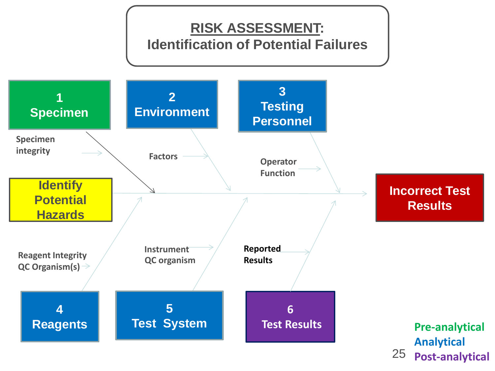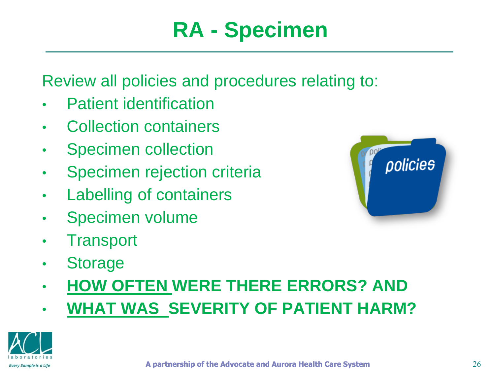Review all policies and procedures relating to:

- Patient identification
- Collection containers
- Specimen collection
- Specimen rejection criteria
- Labelling of containers
- Specimen volume
- Transport
- Storage
- **HOW OFTEN WERE THERE ERRORS? AND**
- **WHAT WAS SEVERITY OF PATIENT HARM?**



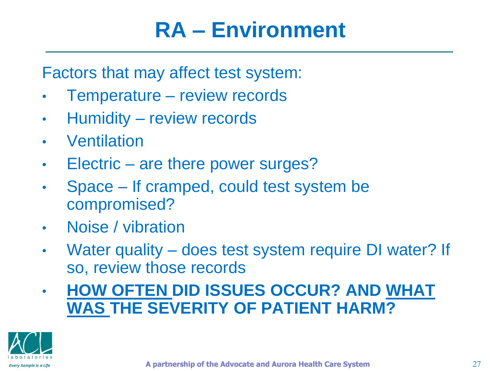# **RA – Environment**

Factors that may affect test system:

- Temperature review records
- Humidity review records
- Ventilation
- Electric are there power surges?
- Space If cramped, could test system be compromised?
- Noise / vibration
- Water quality does test system require DI water? If so, review those records
- **HOW OFTEN DID ISSUES OCCUR? AND WHAT WAS THE SEVERITY OF PATIENT HARM?**

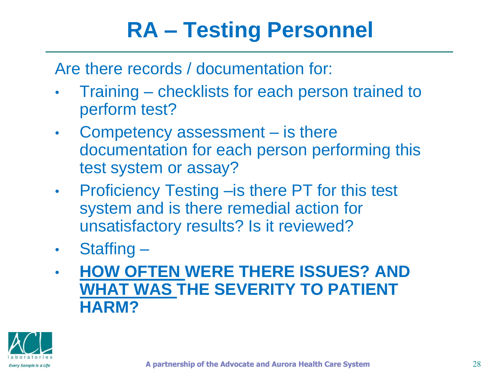# **RA – Testing Personnel**

Are there records / documentation for:

- Training checklists for each person trained to perform test?
- Competency assessment is there documentation for each person performing this test system or assay?
- Proficiency Testing is there PT for this test system and is there remedial action for unsatisfactory results? Is it reviewed?
- Staffing –
- **HOW OFTEN WERE THERE ISSUES? AND WHAT WAS THE SEVERITY TO PATIENT HARM?**



**A partnership of the Advocate and Aurora Health Care System**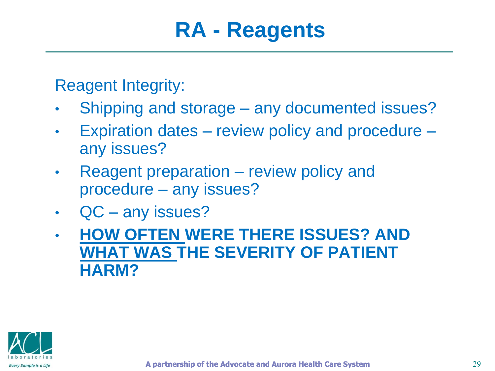# **RA - Reagents**

Reagent Integrity:

- Shipping and storage any documented issues?
- Expiration dates review policy and procedure any issues?
- Reagent preparation review policy and procedure – any issues?
- QC any issues?
- **HOW OFTEN WERE THERE ISSUES? AND WHAT WAS THE SEVERITY OF PATIENT HARM?**

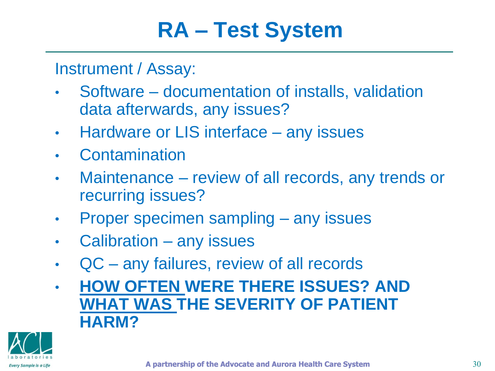# **RA – Test System**

Instrument / Assay:

- Software documentation of installs, validation data afterwards, any issues?
- Hardware or LIS interface any issues
- Contamination
- Maintenance review of all records, any trends or recurring issues?
- Proper specimen sampling any issues
- Calibration any issues
- QC any failures, review of all records
- **HOW OFTEN WERE THERE ISSUES? AND WHAT WAS THE SEVERITY OF PATIENT HARM?**

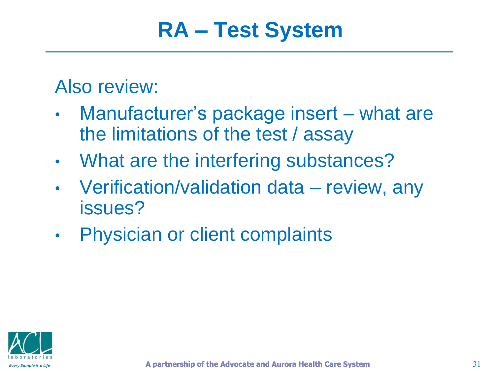# **RA – Test System**

#### Also review:

- Manufacturer's package insert what are the limitations of the test / assay
- What are the interfering substances?
- Verification/validation data review, any issues?
- Physician or client complaints

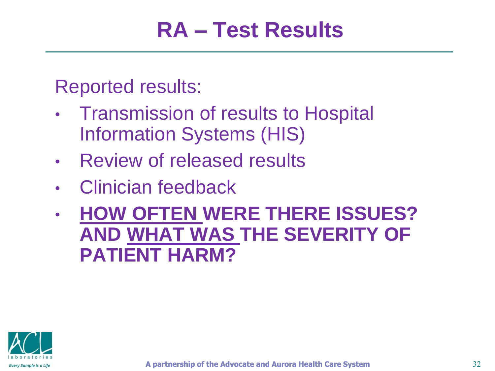Reported results:

- Transmission of results to Hospital Information Systems (HIS)
- Review of released results
- Clinician feedback
- **HOW OFTEN WERE THERE ISSUES? AND WHAT WAS THE SEVERITY OF PATIENT HARM?**

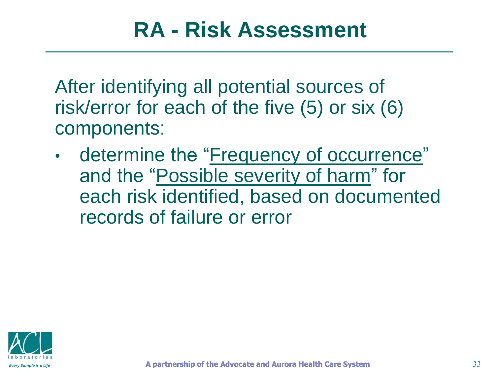# **RA - Risk Assessment**

After identifying all potential sources of risk/error for each of the five (5) or six (6) components:

• determine the "Frequency of occurrence" and the "Possible severity of harm" for each risk identified, based on documented records of failure or error

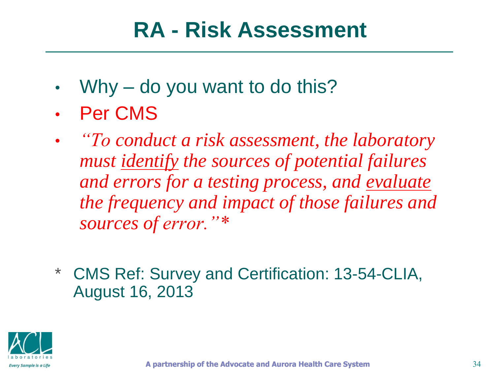# **RA - Risk Assessment**

- Why do you want to do this?
- Per CMS
- *"To conduct a risk assessment, the laboratory must identify the sources of potential failures and errors for a testing process, and evaluate the frequency and impact of those failures and sources of error."\**
- **CMS Ref: Survey and Certification: 13-54-CLIA,** August 16, 2013

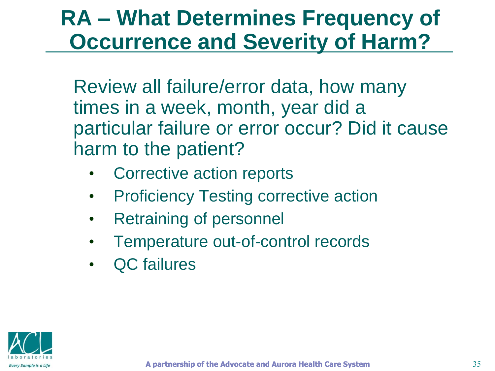# **RA – What Determines Frequency of Occurrence and Severity of Harm?**

Review all failure/error data, how many times in a week, month, year did a particular failure or error occur? Did it cause harm to the patient?

- Corrective action reports
- Proficiency Testing corrective action
- **Retraining of personnel**
- Temperature out-of-control records
- QC failures

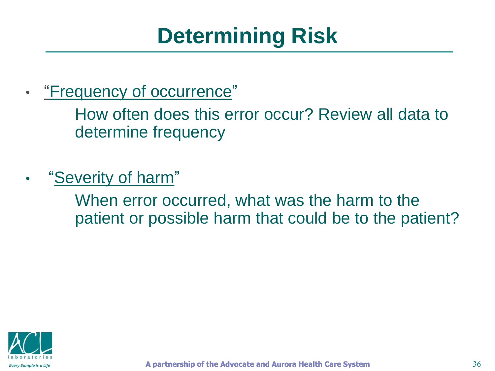# **Determining Risk**

• "Frequency of occurrence"

> How often does this error occur? Review all data to determine frequency

• "Severity of harm"

> When error occurred, what was the harm to the patient or possible harm that could be to the patient?

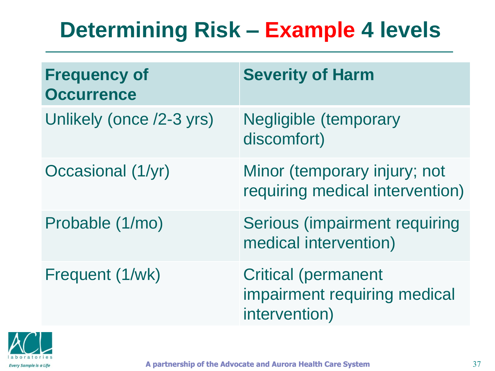# **Determining Risk – Example 4 levels**

| <b>Frequency of</b><br><b>Occurrence</b> | <b>Severity of Harm</b>                                                     |
|------------------------------------------|-----------------------------------------------------------------------------|
| Unlikely (once /2-3 yrs)                 | <b>Negligible (temporary</b><br>discomfort)                                 |
| Occasional (1/yr)                        | Minor (temporary injury; not<br>requiring medical intervention)             |
| Probable (1/mo)                          | Serious (impairment requiring<br>medical intervention)                      |
| Frequent (1/wk)                          | <b>Critical (permanent</b><br>impairment requiring medical<br>intervention) |

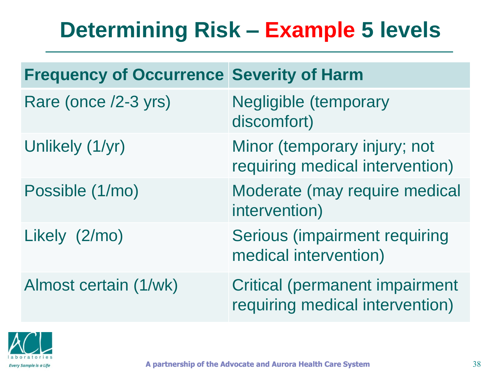# **Determining Risk – Example 5 levels**

| <b>Frequency of Occurrence Severity of Harm</b> |                                                                          |
|-------------------------------------------------|--------------------------------------------------------------------------|
| Rare (once /2-3 yrs)                            | <b>Negligible (temporary</b><br>discomfort)                              |
| Unlikely (1/yr)                                 | Minor (temporary injury; not<br>requiring medical intervention)          |
| Possible (1/mo)                                 | Moderate (may require medical<br>intervention)                           |
| Likely (2/mo)                                   | Serious (impairment requiring<br>medical intervention)                   |
| Almost certain (1/wk)                           | <b>Critical (permanent impairment</b><br>requiring medical intervention) |

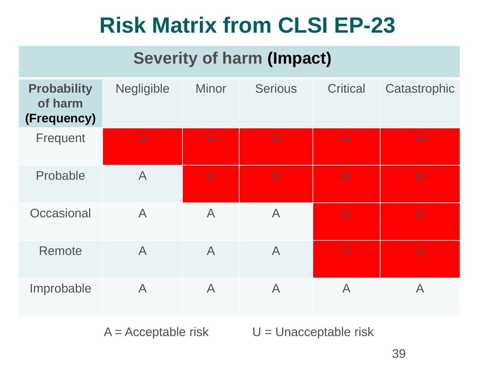# **Risk Matrix from CLSI EP-23**

#### **Severity of harm (Impact)**

| <b>Probability</b><br>of harm<br>(Frequency) | Negligible     | <b>Minor</b>            | <b>Serious</b> | <b>Critical</b> | Catastrophic |
|----------------------------------------------|----------------|-------------------------|----------------|-----------------|--------------|
| Frequent                                     | U              | U                       | U              | U               | U            |
| Probable                                     | $\overline{A}$ | U                       | $\cup$         | $\cup$          | $\cup$       |
| Occasional                                   | $\overline{A}$ | $\overline{A}$          | $\overline{A}$ | U               | $\cup$       |
| Remote                                       | $\overline{A}$ | $\overline{A}$          | $\overline{A}$ | U               | $\cup$       |
| Improbable                                   | $\overline{A}$ | $\overline{\mathsf{A}}$ | $\overline{A}$ | $\mathsf{A}$    | $\mathsf{A}$ |

 $A = Acceptable risk$   $U = Unacceptable risk$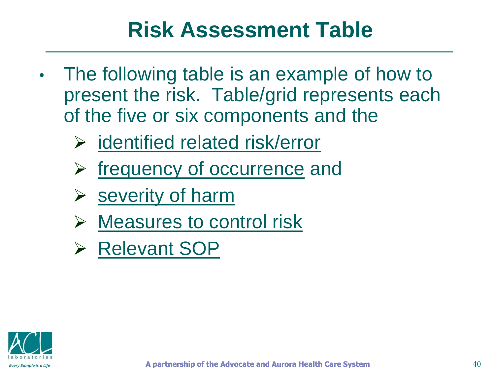# **Risk Assessment Table**

- The following table is an example of how to present the risk. Table/grid represents each of the five or six components and the
	- $\triangleright$  identified related risk/error
	- $\triangleright$  frequency of occurrence and
	- $\triangleright$  severity of harm
	- $\triangleright$  Measures to control risk
	- **▶ Relevant SOP**

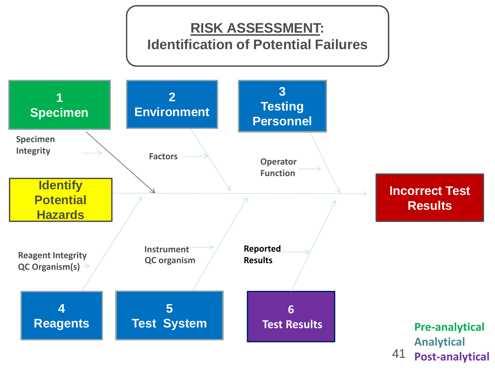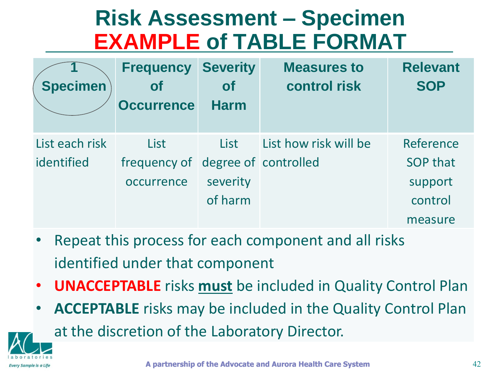# **Risk Assessment – Specimen EXAMPLE of TABLE FORMAT**

| <b>Specimen</b> | <b>Frequency</b><br><b>of</b><br><b>Occurrence</b> | <b>Severity</b><br><b>of</b><br><b>Harm</b> | <b>Measures to</b><br><b>control risk</b> | <b>Relevant</b><br><b>SOP</b> |
|-----------------|----------------------------------------------------|---------------------------------------------|-------------------------------------------|-------------------------------|
| List each risk  | List                                               | List                                        | List how risk will be                     | Reference                     |
| identified      | frequency of degree of controlled                  |                                             |                                           | <b>SOP that</b>               |
|                 | occurrence                                         | severity                                    |                                           | support                       |
|                 |                                                    | of harm                                     |                                           | control                       |
|                 |                                                    |                                             |                                           | measure                       |

Repeat this process for each component and all risks identified under that component

**Every Sample is a Lif** 

- **UNACCEPTABLE** risks **must** be included in Quality Control Plan
- **ACCEPTABLE** risks may be included in the Quality Control Plan at the discretion of the Laboratory Director.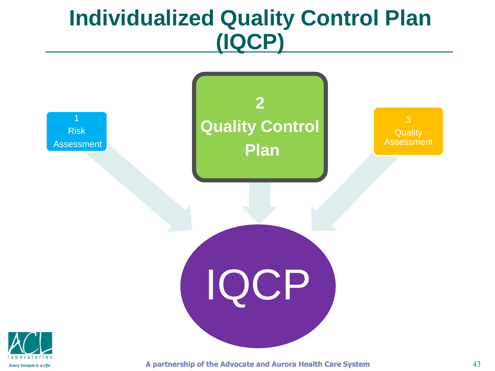# **Individualized Quality Control Plan (IQCP)**



**Every Sample is a Life** 

**A partnership of the Advocate and Aurora Health Care System**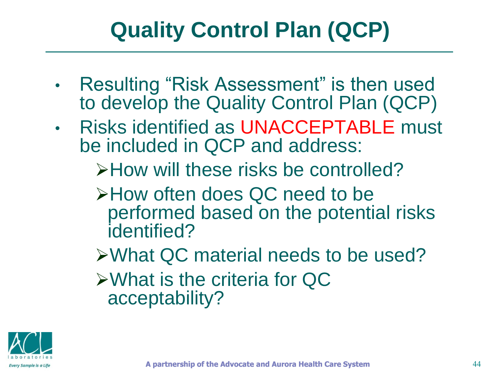# **Quality Control Plan (QCP)**

- Resulting "Risk Assessment" is then used to develop the Quality Control Plan (QCP)
- Risks identified as UNACCEPTABLE must be included in QCP and address:
	- **EXAGORY FIGURE 2** FIGURE 2 PHOW will these risks be controlled?
	- How often does QC need to be performed based on the potential risks identified?
	- What QC material needs to be used? What is the criteria for QC acceptability?

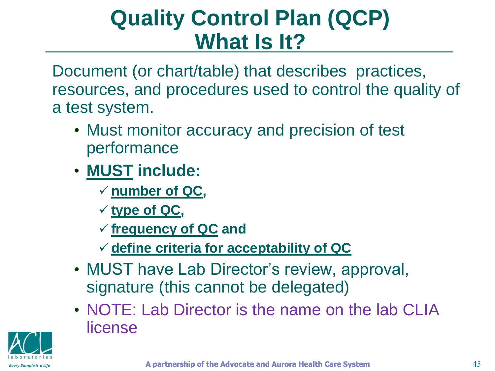# **Quality Control Plan (QCP) What Is It?**

Document (or chart/table) that describes practices, resources, and procedures used to control the quality of a test system.

- Must monitor accuracy and precision of test performance
- **MUST include:**
	- **number of QC,**
	- **type of QC,**
	- **frequency of QC and**
	- **define criteria for acceptability of QC**
- MUST have Lab Director's review, approval, signature (this cannot be delegated)
- NOTE: Lab Director is the name on the lab CLIA license

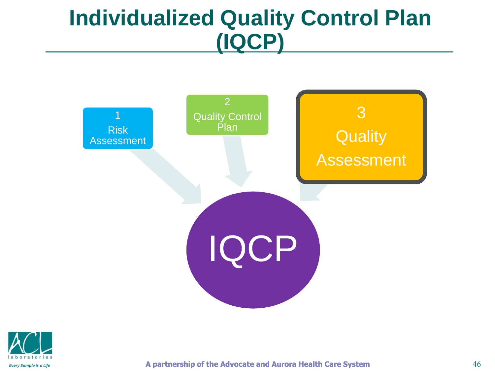# **Individualized Quality Control Plan (IQCP)**





**A partnership of the Advocate and Aurora Health Care System**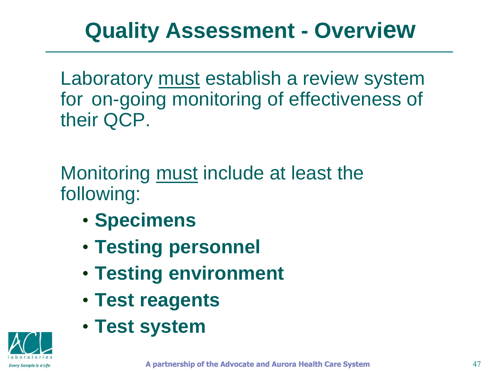# **Quality Assessment - Overview**

Laboratory must establish a review system for on-going monitoring of effectiveness of their QCP.

Monitoring must include at least the following:

- **Specimens**
- **Testing personnel**
- **Testing environment**
- **Test reagents**
- **Test system**

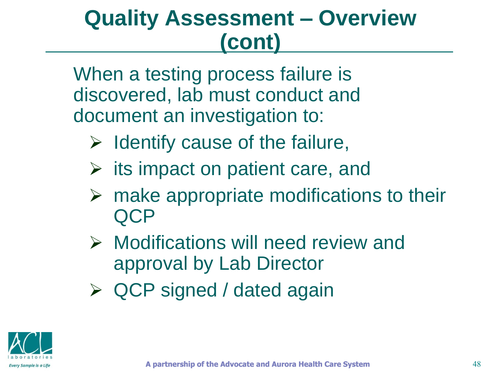# **Quality Assessment – Overview (cont)**

When a testing process failure is discovered, lab must conduct and document an investigation to:

- $\triangleright$  Identify cause of the failure,
- $\triangleright$  its impact on patient care, and
- $\triangleright$  make appropriate modifications to their **QCP**
- $\triangleright$  Modifications will need review and approval by Lab Director
- ▶ QCP signed / dated again

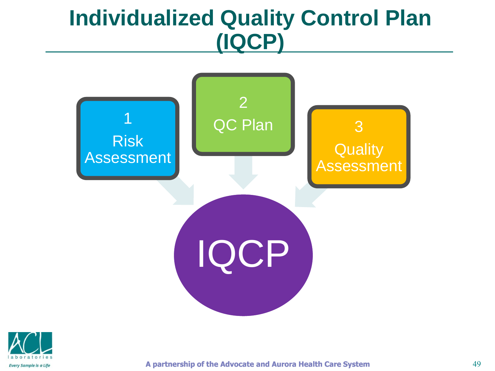# **Individualized Quality Control Plan (IQCP)**





**A partnership of the Advocate and Aurora Health Care System**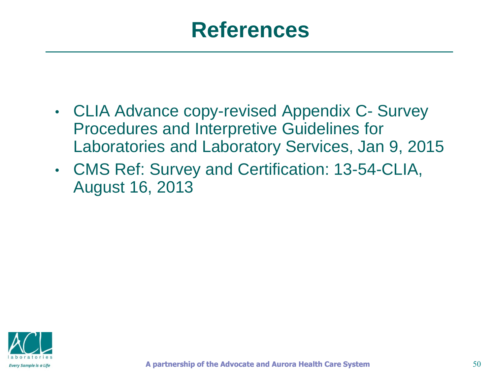#### **References**

- CLIA Advance copy-revised Appendix C- Survey Procedures and Interpretive Guidelines for Laboratories and Laboratory Services, Jan 9, 2015
- CMS Ref: Survey and Certification: 13-54-CLIA, August 16, 2013